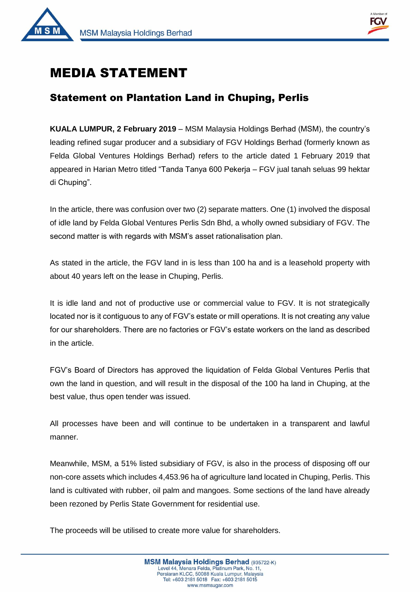



 $\overline{1}$ 

# MEDIA STATEMENT

# Statement on Plantation Land in Chuping, Perlis

**KUALA LUMPUR, 2 February 2019** – MSM Malaysia Holdings Berhad (MSM), the country's leading refined sugar producer and a subsidiary of FGV Holdings Berhad (formerly known as Felda Global Ventures Holdings Berhad) refers to the article dated 1 February 2019 that appeared in Harian Metro titled "Tanda Tanya 600 Pekerja – FGV jual tanah seluas 99 hektar di Chuping".

In the article, there was confusion over two (2) separate matters. One (1) involved the disposal of idle land by Felda Global Ventures Perlis Sdn Bhd, a wholly owned subsidiary of FGV. The second matter is with regards with MSM's asset rationalisation plan.

As stated in the article, the FGV land in is less than 100 ha and is a leasehold property with about 40 years left on the lease in Chuping, Perlis.

It is idle land and not of productive use or commercial value to FGV. It is not strategically located nor is it contiguous to any of FGV's estate or mill operations. It is not creating any value for our shareholders. There are no factories or FGV's estate workers on the land as described in the article.

FGV's Board of Directors has approved the liquidation of Felda Global Ventures Perlis that own the land in question, and will result in the disposal of the 100 ha land in Chuping, at the best value, thus open tender was issued.

All processes have been and will continue to be undertaken in a transparent and lawful manner.

Meanwhile, MSM, a 51% listed subsidiary of FGV, is also in the process of disposing off our non-core assets which includes 4,453.96 ha of agriculture land located in Chuping, Perlis. This land is cultivated with rubber, oil palm and mangoes. Some sections of the land have already been rezoned by Perlis State Government for residential use.

The proceeds will be utilised to create more value for shareholders.